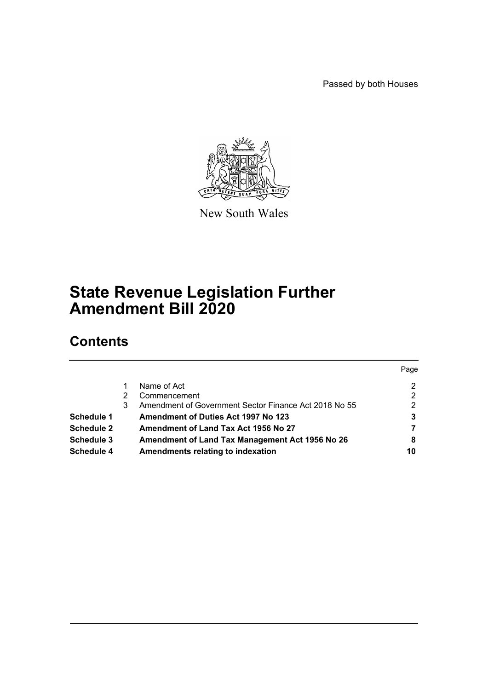Passed by both Houses



New South Wales

# **State Revenue Legislation Further Amendment Bill 2020**

# **Contents**

|                   |   |                                                       | Page |
|-------------------|---|-------------------------------------------------------|------|
|                   |   | Name of Act                                           | 2    |
|                   |   | Commencement                                          | 2    |
|                   | 3 | Amendment of Government Sector Finance Act 2018 No 55 | 2    |
| Schedule 1        |   | <b>Amendment of Duties Act 1997 No 123</b>            | 3    |
| <b>Schedule 2</b> |   | Amendment of Land Tax Act 1956 No 27                  |      |
| Schedule 3        |   | Amendment of Land Tax Management Act 1956 No 26       | 8    |
| Schedule 4        |   | Amendments relating to indexation                     | 10   |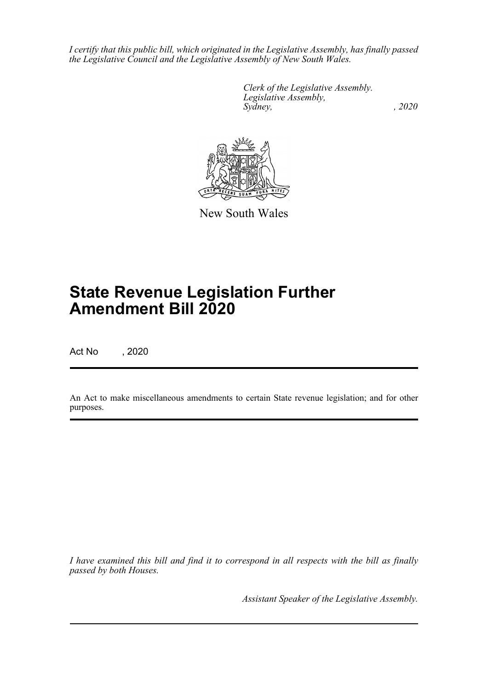*I certify that this public bill, which originated in the Legislative Assembly, has finally passed the Legislative Council and the Legislative Assembly of New South Wales.*

> *Clerk of the Legislative Assembly. Legislative Assembly, Sydney, , 2020*



New South Wales

# **State Revenue Legislation Further Amendment Bill 2020**

Act No , 2020

An Act to make miscellaneous amendments to certain State revenue legislation; and for other purposes.

*I have examined this bill and find it to correspond in all respects with the bill as finally passed by both Houses.*

*Assistant Speaker of the Legislative Assembly.*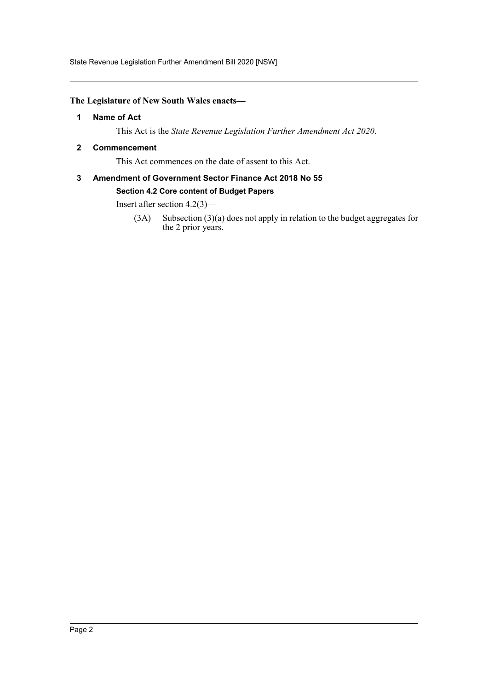State Revenue Legislation Further Amendment Bill 2020 [NSW]

#### <span id="page-2-0"></span>**The Legislature of New South Wales enacts—**

#### **1 Name of Act**

This Act is the *State Revenue Legislation Further Amendment Act 2020*.

#### <span id="page-2-1"></span>**2 Commencement**

This Act commences on the date of assent to this Act.

### <span id="page-2-2"></span>**3 Amendment of Government Sector Finance Act 2018 No 55 Section 4.2 Core content of Budget Papers**

Insert after section 4.2(3)—

(3A) Subsection (3)(a) does not apply in relation to the budget aggregates for the 2 prior years.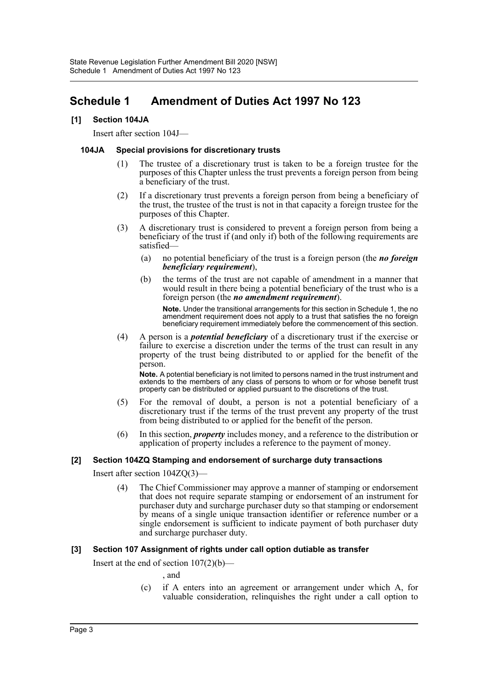### <span id="page-3-0"></span>**Schedule 1 Amendment of Duties Act 1997 No 123**

#### **[1] Section 104JA**

Insert after section 104J—

#### **104JA Special provisions for discretionary trusts**

- (1) The trustee of a discretionary trust is taken to be a foreign trustee for the purposes of this Chapter unless the trust prevents a foreign person from being a beneficiary of the trust.
- (2) If a discretionary trust prevents a foreign person from being a beneficiary of the trust, the trustee of the trust is not in that capacity a foreign trustee for the purposes of this Chapter.
- (3) A discretionary trust is considered to prevent a foreign person from being a beneficiary of the trust if (and only if) both of the following requirements are satisfied—
	- (a) no potential beneficiary of the trust is a foreign person (the *no foreign beneficiary requirement*),
	- (b) the terms of the trust are not capable of amendment in a manner that would result in there being a potential beneficiary of the trust who is a foreign person (the *no amendment requirement*).

**Note.** Under the transitional arrangements for this section in Schedule 1, the no amendment requirement does not apply to a trust that satisfies the no foreign beneficiary requirement immediately before the commencement of this section.

(4) A person is a *potential beneficiary* of a discretionary trust if the exercise or failure to exercise a discretion under the terms of the trust can result in any property of the trust being distributed to or applied for the benefit of the person.

**Note.** A potential beneficiary is not limited to persons named in the trust instrument and extends to the members of any class of persons to whom or for whose benefit trust property can be distributed or applied pursuant to the discretions of the trust.

- (5) For the removal of doubt, a person is not a potential beneficiary of a discretionary trust if the terms of the trust prevent any property of the trust from being distributed to or applied for the benefit of the person.
- (6) In this section, *property* includes money, and a reference to the distribution or application of property includes a reference to the payment of money.

#### **[2] Section 104ZQ Stamping and endorsement of surcharge duty transactions**

Insert after section 104ZQ(3)—

(4) The Chief Commissioner may approve a manner of stamping or endorsement that does not require separate stamping or endorsement of an instrument for purchaser duty and surcharge purchaser duty so that stamping or endorsement by means of a single unique transaction identifier or reference number or a single endorsement is sufficient to indicate payment of both purchaser duty and surcharge purchaser duty.

#### **[3] Section 107 Assignment of rights under call option dutiable as transfer**

Insert at the end of section  $107(2)(b)$ —

- , and
- (c) if A enters into an agreement or arrangement under which A, for valuable consideration, relinquishes the right under a call option to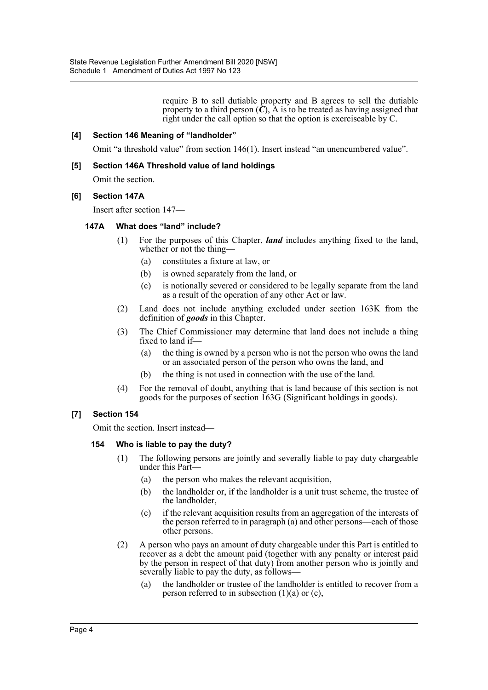require B to sell dutiable property and B agrees to sell the dutiable property to a third person  $(C)$ , A is to be treated as having assigned that right under the call option so that the option is exerciseable by C.

#### **[4] Section 146 Meaning of "landholder"**

Omit "a threshold value" from section 146(1). Insert instead "an unencumbered value".

#### **[5] Section 146A Threshold value of land holdings**

Omit the section.

#### **[6] Section 147A**

Insert after section 147—

#### **147A What does "land" include?**

- (1) For the purposes of this Chapter, *land* includes anything fixed to the land, whether or not the thing-
	- (a) constitutes a fixture at law, or
	- (b) is owned separately from the land, or
	- (c) is notionally severed or considered to be legally separate from the land as a result of the operation of any other Act or law.
- (2) Land does not include anything excluded under section 163K from the definition of *goods* in this Chapter.
- (3) The Chief Commissioner may determine that land does not include a thing fixed to land if—
	- (a) the thing is owned by a person who is not the person who owns the land or an associated person of the person who owns the land, and
	- (b) the thing is not used in connection with the use of the land.
- (4) For the removal of doubt, anything that is land because of this section is not goods for the purposes of section 163G (Significant holdings in goods).

#### **[7] Section 154**

Omit the section. Insert instead—

#### **154 Who is liable to pay the duty?**

- (1) The following persons are jointly and severally liable to pay duty chargeable under this Part—
	- (a) the person who makes the relevant acquisition,
	- (b) the landholder or, if the landholder is a unit trust scheme, the trustee of the landholder,
	- (c) if the relevant acquisition results from an aggregation of the interests of the person referred to in paragraph (a) and other persons—each of those other persons.
- (2) A person who pays an amount of duty chargeable under this Part is entitled to recover as a debt the amount paid (together with any penalty or interest paid by the person in respect of that duty) from another person who is jointly and severally liable to pay the duty, as follows—
	- (a) the landholder or trustee of the landholder is entitled to recover from a person referred to in subsection  $(1)(a)$  or  $(c)$ ,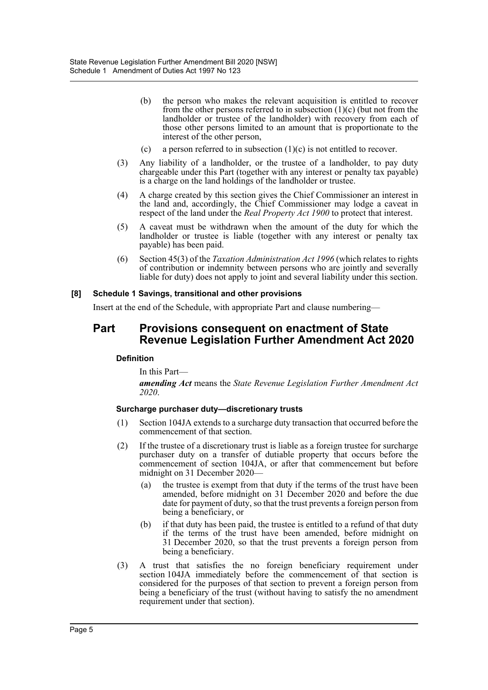- (b) the person who makes the relevant acquisition is entitled to recover from the other persons referred to in subsection  $(1)(c)$  (but not from the landholder or trustee of the landholder) with recovery from each of those other persons limited to an amount that is proportionate to the interest of the other person,
- (c) a person referred to in subsection  $(1)(c)$  is not entitled to recover.
- (3) Any liability of a landholder, or the trustee of a landholder, to pay duty chargeable under this Part (together with any interest or penalty tax payable) is a charge on the land holdings of the landholder or trustee.
- (4) A charge created by this section gives the Chief Commissioner an interest in the land and, accordingly, the Chief Commissioner may lodge a caveat in respect of the land under the *Real Property Act 1900* to protect that interest.
- (5) A caveat must be withdrawn when the amount of the duty for which the landholder or trustee is liable (together with any interest or penalty tax payable) has been paid.
- (6) Section 45(3) of the *Taxation Administration Act 1996* (which relates to rights of contribution or indemnity between persons who are jointly and severally liable for duty) does not apply to joint and several liability under this section.

#### **[8] Schedule 1 Savings, transitional and other provisions**

Insert at the end of the Schedule, with appropriate Part and clause numbering—

### **Part Provisions consequent on enactment of State Revenue Legislation Further Amendment Act 2020**

#### **Definition**

In this Part—

*amending Act* means the *State Revenue Legislation Further Amendment Act 2020*.

#### **Surcharge purchaser duty—discretionary trusts**

- (1) Section 104JA extends to a surcharge duty transaction that occurred before the commencement of that section.
- (2) If the trustee of a discretionary trust is liable as a foreign trustee for surcharge purchaser duty on a transfer of dutiable property that occurs before the commencement of section 104JA, or after that commencement but before midnight on 31 December 2020—
	- (a) the trustee is exempt from that duty if the terms of the trust have been amended, before midnight on 31 December 2020 and before the due date for payment of duty, so that the trust prevents a foreign person from being a beneficiary, or
	- (b) if that duty has been paid, the trustee is entitled to a refund of that duty if the terms of the trust have been amended, before midnight on 31 December 2020, so that the trust prevents a foreign person from being a beneficiary.
- (3) A trust that satisfies the no foreign beneficiary requirement under section 104JA immediately before the commencement of that section is considered for the purposes of that section to prevent a foreign person from being a beneficiary of the trust (without having to satisfy the no amendment requirement under that section).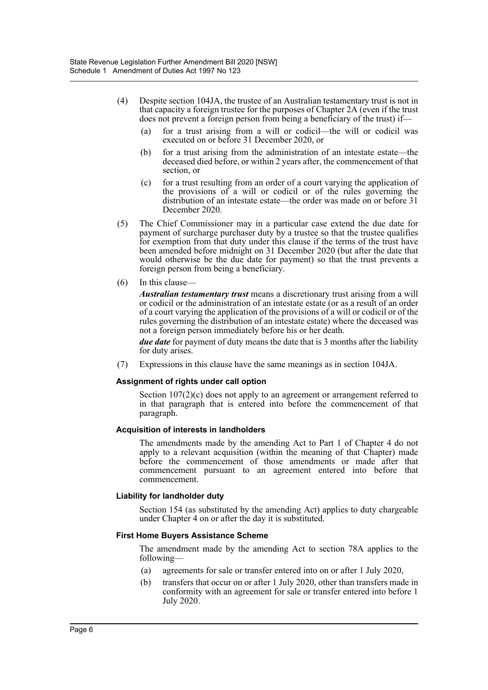- (4) Despite section 104JA, the trustee of an Australian testamentary trust is not in that capacity a foreign trustee for the purposes of Chapter 2A (even if the trust does not prevent a foreign person from being a beneficiary of the trust) if—
	- (a) for a trust arising from a will or codicil—the will or codicil was executed on or before 31 December 2020, or
	- (b) for a trust arising from the administration of an intestate estate—the deceased died before, or within 2 years after, the commencement of that section, or
	- (c) for a trust resulting from an order of a court varying the application of the provisions of a will or codicil or of the rules governing the distribution of an intestate estate—the order was made on or before 31 December 2020.
- (5) The Chief Commissioner may in a particular case extend the due date for payment of surcharge purchaser duty by a trustee so that the trustee qualifies for exemption from that duty under this clause if the terms of the trust have been amended before midnight on 31 December 2020 (but after the date that would otherwise be the due date for payment) so that the trust prevents a foreign person from being a beneficiary.
- (6) In this clause—

*Australian testamentary trust* means a discretionary trust arising from a will or codicil or the administration of an intestate estate (or as a result of an order of a court varying the application of the provisions of a will or codicil or of the rules governing the distribution of an intestate estate) where the deceased was not a foreign person immediately before his or her death.

*due date* for payment of duty means the date that is 3 months after the liability for duty arises.

(7) Expressions in this clause have the same meanings as in section 104JA.

#### **Assignment of rights under call option**

Section 107(2)(c) does not apply to an agreement or arrangement referred to in that paragraph that is entered into before the commencement of that paragraph.

#### **Acquisition of interests in landholders**

The amendments made by the amending Act to Part 1 of Chapter 4 do not apply to a relevant acquisition (within the meaning of that Chapter) made before the commencement of those amendments or made after that commencement pursuant to an agreement entered into before that commencement.

#### **Liability for landholder duty**

Section 154 (as substituted by the amending Act) applies to duty chargeable under Chapter 4 on or after the day it is substituted.

#### **First Home Buyers Assistance Scheme**

The amendment made by the amending Act to section 78A applies to the following—

- (a) agreements for sale or transfer entered into on or after 1 July 2020,
- (b) transfers that occur on or after 1 July 2020, other than transfers made in conformity with an agreement for sale or transfer entered into before 1 July 2020.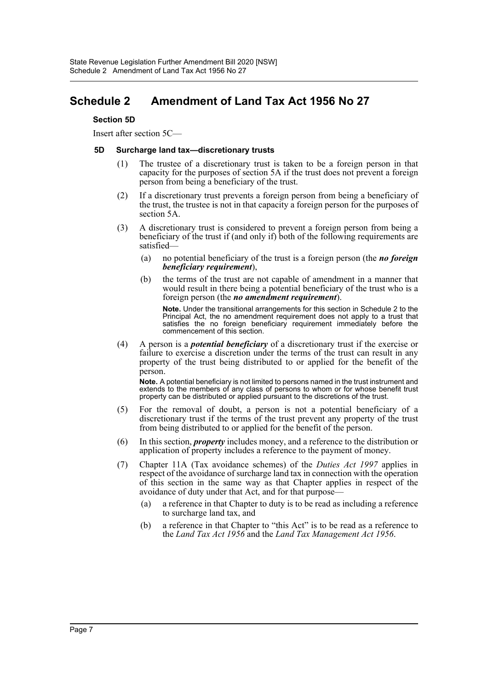### <span id="page-7-0"></span>**Schedule 2 Amendment of Land Tax Act 1956 No 27**

#### **Section 5D**

Insert after section 5C—

#### **5D Surcharge land tax—discretionary trusts**

- (1) The trustee of a discretionary trust is taken to be a foreign person in that capacity for the purposes of section 5A if the trust does not prevent a foreign person from being a beneficiary of the trust.
- (2) If a discretionary trust prevents a foreign person from being a beneficiary of the trust, the trustee is not in that capacity a foreign person for the purposes of section 5A.
- (3) A discretionary trust is considered to prevent a foreign person from being a beneficiary of the trust if (and only if) both of the following requirements are satisfied—
	- (a) no potential beneficiary of the trust is a foreign person (the *no foreign beneficiary requirement*),
	- (b) the terms of the trust are not capable of amendment in a manner that would result in there being a potential beneficiary of the trust who is a foreign person (the *no amendment requirement*).

**Note.** Under the transitional arrangements for this section in Schedule 2 to the Principal Act, the no amendment requirement does not apply to a trust that satisfies the no foreign beneficiary requirement immediately before the commencement of this section.

(4) A person is a *potential beneficiary* of a discretionary trust if the exercise or failure to exercise a discretion under the terms of the trust can result in any property of the trust being distributed to or applied for the benefit of the person.

**Note.** A potential beneficiary is not limited to persons named in the trust instrument and extends to the members of any class of persons to whom or for whose benefit trust property can be distributed or applied pursuant to the discretions of the trust.

- (5) For the removal of doubt, a person is not a potential beneficiary of a discretionary trust if the terms of the trust prevent any property of the trust from being distributed to or applied for the benefit of the person.
- (6) In this section, *property* includes money, and a reference to the distribution or application of property includes a reference to the payment of money.
- (7) Chapter 11A (Tax avoidance schemes) of the *Duties Act 1997* applies in respect of the avoidance of surcharge land tax in connection with the operation of this section in the same way as that Chapter applies in respect of the avoidance of duty under that Act, and for that purpose—
	- (a) a reference in that Chapter to duty is to be read as including a reference to surcharge land tax, and
	- (b) a reference in that Chapter to "this Act" is to be read as a reference to the *Land Tax Act 1956* and the *Land Tax Management Act 1956*.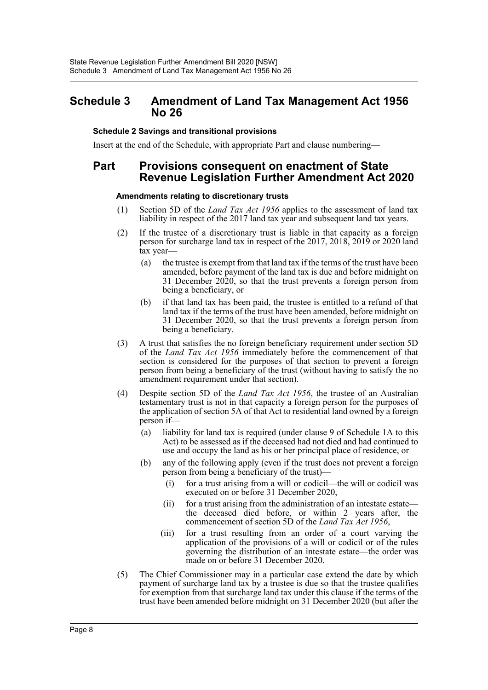### <span id="page-8-0"></span>**Schedule 3 Amendment of Land Tax Management Act 1956 No 26**

#### **Schedule 2 Savings and transitional provisions**

Insert at the end of the Schedule, with appropriate Part and clause numbering—

### **Part Provisions consequent on enactment of State Revenue Legislation Further Amendment Act 2020**

#### **Amendments relating to discretionary trusts**

- (1) Section 5D of the *Land Tax Act 1956* applies to the assessment of land tax liability in respect of the 2017 land tax year and subsequent land tax years.
- (2) If the trustee of a discretionary trust is liable in that capacity as a foreign person for surcharge land tax in respect of the 2017, 2018, 2019 or 2020 land tax year—
	- (a) the trustee is exempt from that land tax if the terms of the trust have been amended, before payment of the land tax is due and before midnight on 31 December 2020, so that the trust prevents a foreign person from being a beneficiary, or
	- (b) if that land tax has been paid, the trustee is entitled to a refund of that land tax if the terms of the trust have been amended, before midnight on 31 December 2020, so that the trust prevents a foreign person from being a beneficiary.
- (3) A trust that satisfies the no foreign beneficiary requirement under section 5D of the *Land Tax Act 1956* immediately before the commencement of that section is considered for the purposes of that section to prevent a foreign person from being a beneficiary of the trust (without having to satisfy the no amendment requirement under that section).
- (4) Despite section 5D of the *Land Tax Act 1956*, the trustee of an Australian testamentary trust is not in that capacity a foreign person for the purposes of the application of section 5A of that Act to residential land owned by a foreign person if—
	- (a) liability for land tax is required (under clause 9 of Schedule 1A to this Act) to be assessed as if the deceased had not died and had continued to use and occupy the land as his or her principal place of residence, or
	- (b) any of the following apply (even if the trust does not prevent a foreign person from being a beneficiary of the trust)—
		- (i) for a trust arising from a will or codicil—the will or codicil was executed on or before 31 December 2020,
		- (ii) for a trust arising from the administration of an intestate estate the deceased died before, or within 2 years after, the commencement of section 5D of the *Land Tax Act 1956*,
		- (iii) for a trust resulting from an order of a court varying the application of the provisions of a will or codicil or of the rules governing the distribution of an intestate estate—the order was made on or before 31 December 2020.
- (5) The Chief Commissioner may in a particular case extend the date by which payment of surcharge land tax by a trustee is due so that the trustee qualifies for exemption from that surcharge land tax under this clause if the terms of the trust have been amended before midnight on 31 December 2020 (but after the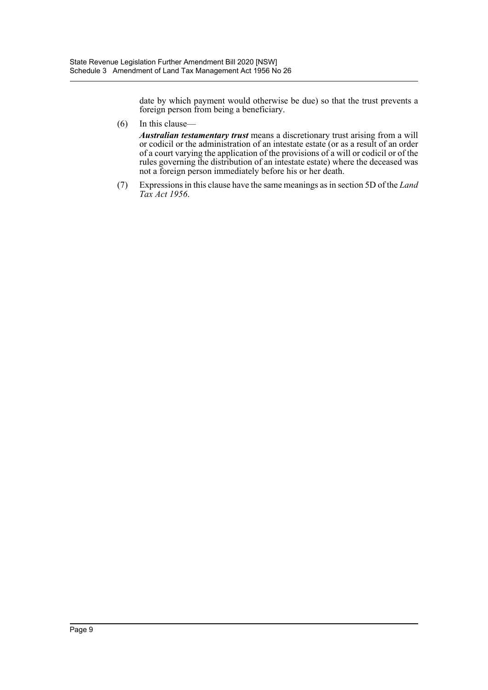date by which payment would otherwise be due) so that the trust prevents a foreign person from being a beneficiary.

(6) In this clause—

*Australian testamentary trust* means a discretionary trust arising from a will or codicil or the administration of an intestate estate (or as a result of an order of a court varying the application of the provisions of a will or codicil or of the rules governing the distribution of an intestate estate) where the deceased was not a foreign person immediately before his or her death.

(7) Expressions in this clause have the same meanings as in section 5D of the *Land Tax Act 1956*.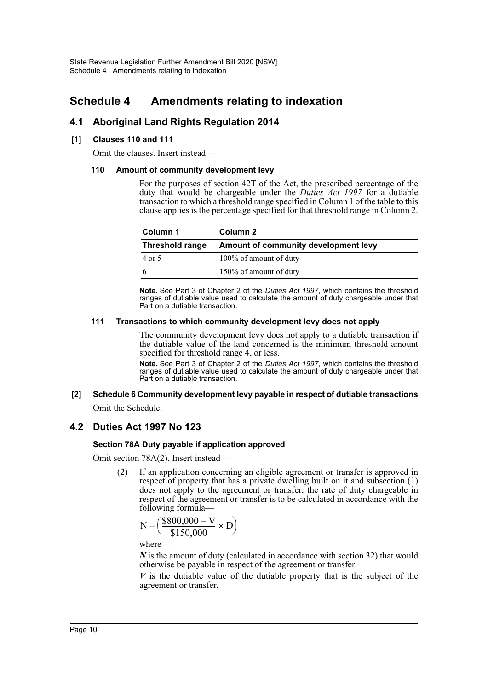### <span id="page-10-0"></span>**Schedule 4 Amendments relating to indexation**

### **4.1 Aboriginal Land Rights Regulation 2014**

#### **[1] Clauses 110 and 111**

Omit the clauses. Insert instead—

#### **110 Amount of community development levy**

For the purposes of section 42T of the Act, the prescribed percentage of the duty that would be chargeable under the *Duties Act 1997* for a dutiable transaction to which a threshold range specified in Column 1 of the table to this clause applies is the percentage specified for that threshold range in Column 2.

| Column 1               | Column 2                             |
|------------------------|--------------------------------------|
| <b>Threshold range</b> | Amount of community development levy |
| 4 or 5                 | 100% of amount of duty               |
| 6                      | 150% of amount of duty               |

**Note.** See Part 3 of Chapter 2 of the *Duties Act 1997*, which contains the threshold ranges of dutiable value used to calculate the amount of duty chargeable under that Part on a dutiable transaction.

#### **111 Transactions to which community development levy does not apply**

The community development levy does not apply to a dutiable transaction if the dutiable value of the land concerned is the minimum threshold amount specified for threshold range 4, or less.

**Note.** See Part 3 of Chapter 2 of the *Duties Act 1997*, which contains the threshold ranges of dutiable value used to calculate the amount of duty chargeable under that Part on a dutiable transaction.

#### **[2] Schedule 6 Community development levy payable in respect of dutiable transactions** Omit the Schedule.

## **4.2 Duties Act 1997 No 123**

#### **Section 78A Duty payable if application approved**

Omit section 78A(2). Insert instead—

(2) If an application concerning an eligible agreement or transfer is approved in respect of property that has a private dwelling built on it and subsection (1) does not apply to the agreement or transfer, the rate of duty chargeable in respect of the agreement or transfer is to be calculated in accordance with the following formula—

$$
N - \left(\frac{\$800,000 - V}{\$150,000} \times D\right)
$$

where—

*N* is the amount of duty (calculated in accordance with section 32) that would otherwise be payable in respect of the agreement or transfer.

*V* is the dutiable value of the dutiable property that is the subject of the agreement or transfer.